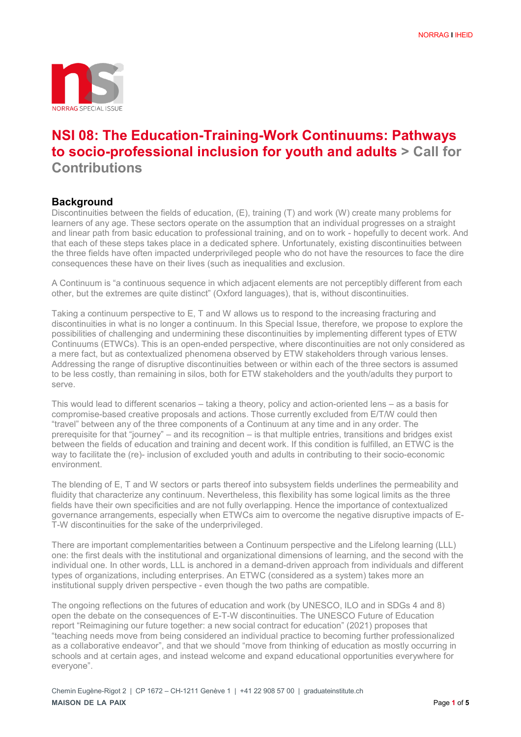

# **NSI 08: The Education-Training-Work Continuums: Pathways to socio-professional inclusion for youth and adults > Call for Contributions**

# **Background**

Discontinuities between the fields of education, (E), training (T) and work (W) create many problems for learners of any age. These sectors operate on the assumption that an individual progresses on a straight and linear path from basic education to professional training, and on to work - hopefully to decent work. And that each of these steps takes place in a dedicated sphere. Unfortunately, existing discontinuities between the three fields have often impacted underprivileged people who do not have the resources to face the dire consequences these have on their lives (such as inequalities and exclusion.

A Continuum is "a continuous sequence in which adjacent elements are not perceptibly different from each other, but the extremes are quite distinct" (Oxford languages), that is, without discontinuities.

Taking a continuum perspective to E, T and W allows us to respond to the increasing fracturing and discontinuities in what is no longer a continuum. In this Special Issue, therefore, we propose to explore the possibilities of challenging and undermining these discontinuities by implementing different types of ETW Continuums (ETWCs). This is an open-ended perspective, where discontinuities are not only considered as a mere fact, but as contextualized phenomena observed by ETW stakeholders through various lenses. Addressing the range of disruptive discontinuities between or within each of the three sectors is assumed to be less costly, than remaining in silos, both for ETW stakeholders and the youth/adults they purport to serve.

This would lead to different scenarios – taking a theory, policy and action-oriented lens – as a basis for compromise-based creative proposals and actions. Those currently excluded from E/T/W could then "travel" between any of the three components of a Continuum at any time and in any order. The prerequisite for that "journey" – and its recognition – is that multiple entries, transitions and bridges exist between the fields of education and training and decent work. If this condition is fulfilled, an ETWC is the way to facilitate the (re)- inclusion of excluded youth and adults in contributing to their socio-economic environment.

The blending of E, T and W sectors or parts thereof into subsystem fields underlines the permeability and fluidity that characterize any continuum. Nevertheless, this flexibility has some logical limits as the three fields have their own specificities and are not fully overlapping. Hence the importance of contextualized governance arrangements, especially when ETWCs aim to overcome the negative disruptive impacts of E-T-W discontinuities for the sake of the underprivileged.

There are important complementarities between a Continuum perspective and the Lifelong learning (LLL) one: the first deals with the institutional and organizational dimensions of learning, and the second with the individual one. In other words, LLL is anchored in a demand-driven approach from individuals and different types of organizations, including enterprises. An ETWC (considered as a system) takes more an institutional supply driven perspective - even though the two paths are compatible.

The ongoing reflections on the futures of education and work (by UNESCO, ILO and in SDGs 4 and 8) open the debate on the consequences of E-T-W discontinuities. The UNESCO Future of Education report "Reimagining our future together: a new social contract for education" (2021) proposes that "teaching needs move from being considered an individual practice to becoming further professionalized as a collaborative endeavor", and that we should "move from thinking of education as mostly occurring in schools and at certain ages, and instead welcome and expand educational opportunities everywhere for everyone".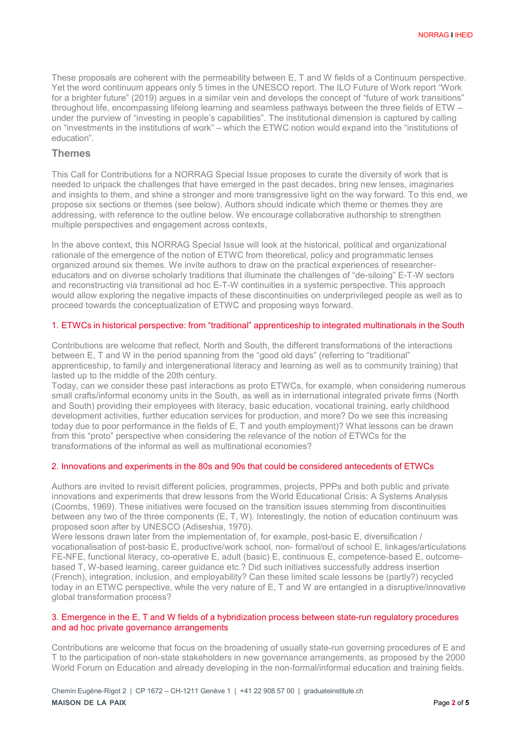These proposals are coherent with the permeability between E, T and W fields of a Continuum perspective. Yet the word continuum appears only 5 times in the UNESCO report. The ILO Future of Work report "Work for a brighter future" (2019) argues in a similar vein and develops the concept of "future of work transitions" throughout life, encompassing lifelong learning and seamless pathways between the three fields of ETW – under the purview of "investing in people's capabilities". The institutional dimension is captured by calling on "investments in the institutions of work" – which the ETWC notion would expand into the "institutions of education".

# **Themes**

This Call for Contributions for a NORRAG Special Issue proposes to curate the diversity of work that is needed to unpack the challenges that have emerged in the past decades, bring new lenses, imaginaries and insights to them, and shine a stronger and more transgressive light on the way forward. To this end, we propose six sections or themes (see below). Authors should indicate which theme or themes they are addressing, with reference to the outline below. We encourage collaborative authorship to strengthen multiple perspectives and engagement across contexts,

In the above context, this NORRAG Special Issue will look at the historical, political and organizational rationale of the emergence of the notion of ETWC from theoretical, policy and programmatic lenses organized around six themes. We invite authors to draw on the practical experiences of researchereducators and on diverse scholarly traditions that illuminate the challenges of "de-siloing" E-T-W sectors and reconstructing via transitional ad hoc E-T-W continuities in a systemic perspective. This approach would allow exploring the negative impacts of these discontinuities on underprivileged people as well as to proceed towards the conceptualization of ETWC and proposing ways forward.

## 1. ETWCs in historical perspective: from "traditional" apprenticeship to integrated multinationals in the South

Contributions are welcome that reflect, North and South, the different transformations of the interactions between E, T and W in the period spanning from the "good old days" (referring to "traditional" apprenticeship, to family and intergenerational literacy and learning as well as to community training) that lasted up to the middle of the 20th century.

Today, can we consider these past interactions as proto ETWCs, for example, when considering numerous small crafts/informal economy units in the South, as well as in international integrated private firms (North and South) providing their employees with literacy, basic education, vocational training, early childhood development activities, further education services for production, and more? Do we see this increasing today due to poor performance in the fields of E, T and youth employment)? What lessons can be drawn from this "proto" perspective when considering the relevance of the notion of ETWCs for the transformations of the informal as well as multinational economies?

#### 2. Innovations and experiments in the 80s and 90s that could be considered antecedents of ETWCs

Authors are invited to revisit different policies, programmes, projects, PPPs and both public and private innovations and experiments that drew lessons from the World Educational Crisis: A Systems Analysis (Coombs, 1969). These initiatives were focused on the transition issues stemming from discontinuities between any two of the three components (E, T, W). Interestingly, the notion of education continuum was proposed soon after by UNESCO (Adiseshia, 1970).

Were lessons drawn later from the implementation of, for example, post-basic E, diversification / vocationalisation of post-basic E, productive/work school, non- formal/out of school E, linkages/articulations FE-NFE, functional literacy, co-operative E, adult (basic) E, continuous E, competence-based E, outcomebased T, W-based learning, career guidance etc.? Did such initiatives successfully address insertion (French), integration, inclusion, and employability? Can these limited scale lessons be (partly?) recycled today in an ETWC perspective, while the very nature of E, T and W are entangled in a disruptive/innovative global transformation process?

# 3. Emergence in the E, T and W fields of a hybridization process between state-run regulatory procedures and ad hoc private governance arrangements

Contributions are welcome that focus on the broadening of usually state-run governing procedures of E and T to the participation of non-state stakeholders in new governance arrangements, as proposed by the 2000 World Forum on Education and already developing in the non-formal/informal education and training fields.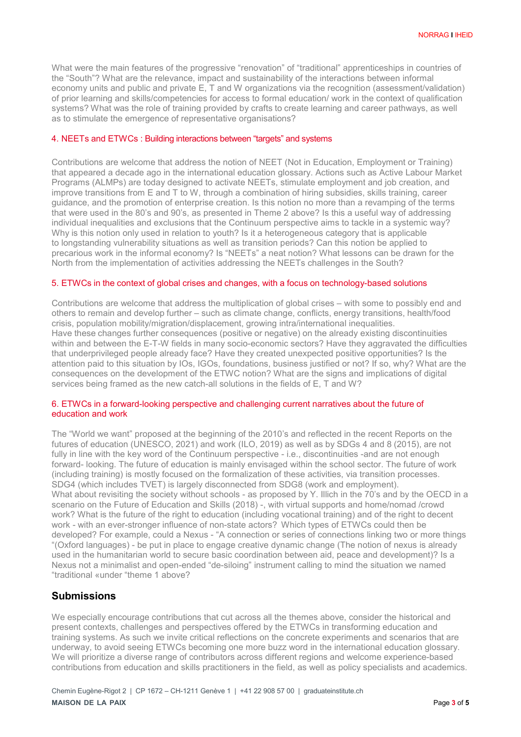What were the main features of the progressive "renovation" of "traditional" apprenticeships in countries of the "South"? What are the relevance, impact and sustainability of the interactions between informal economy units and public and private E, T and W organizations via the recognition (assessment/validation) of prior learning and skills/competencies for access to formal education/ work in the context of qualification systems? What was the role of training provided by crafts to create learning and career pathways, as well as to stimulate the emergence of representative organisations?

# 4. NEETs and ETWCs : Building interactions between "targets" and systems

Contributions are welcome that address the notion of NEET (Not in Education, Employment or Training) that appeared a decade ago in the international education glossary. Actions such as Active Labour Market Programs (ALMPs) are today designed to activate NEETs, stimulate employment and job creation, and improve transitions from E and T to W, through a combination of hiring subsidies, skills training, career guidance, and the promotion of enterprise creation. Is this notion no more than a revamping of the terms that were used in the 80's and 90's, as presented in Theme 2 above? Is this a useful way of addressing individual inequalities and exclusions that the Continuum perspective aims to tackle in a systemic way? Why is this notion only used in relation to youth? Is it a heterogeneous category that is applicable to longstanding vulnerability situations as well as transition periods? Can this notion be applied to precarious work in the informal economy? Is "NEETs" a neat notion? What lessons can be drawn for the North from the implementation of activities addressing the NEETs challenges in the South?

## 5. ETWCs in the context of global crises and changes, with a focus on technology-based solutions

Contributions are welcome that address the multiplication of global crises – with some to possibly end and others to remain and develop further – such as climate change, conflicts, energy transitions, health/food crisis, population mobility/migration/displacement, growing intra/international inequalities. Have these changes further consequences (positive or negative) on the already existing discontinuities within and between the E-T-W fields in many socio-economic sectors? Have they aggravated the difficulties that underprivileged people already face? Have they created unexpected positive opportunities? Is the attention paid to this situation by IOs, IGOs, foundations, business justified or not? If so, why? What are the consequences on the development of the ETWC notion? What are the signs and implications of digital services being framed as the new catch-all solutions in the fields of E, T and W?

#### 6. ETWCs in a forward-looking perspective and challenging current narratives about the future of education and work

The "World we want" proposed at the beginning of the 2010's and reflected in the recent Reports on the futures of education (UNESCO, 2021) and work (ILO, 2019) as well as by SDGs 4 and 8 (2015), are not fully in line with the key word of the Continuum perspective - i.e., discontinuities -and are not enough forward- looking. The future of education is mainly envisaged within the school sector. The future of work (including training) is mostly focused on the formalization of these activities, via transition processes. SDG4 (which includes TVET) is largely disconnected from SDG8 (work and employment). What about revisiting the society without schools - as proposed by Y. Illich in the 70's and by the OECD in a scenario on the Future of Education and Skills (2018) -, with virtual supports and home/nomad /crowd work? What is the future of the right to education (including vocational training) and of the right to decent work - with an ever-stronger influence of non-state actors? Which types of ETWCs could then be developed? For example, could a Nexus - "A connection or series of connections linking two or more things "(Oxford languages) - be put in place to engage creative dynamic change (The notion of nexus is already used in the humanitarian world to secure basic coordination between aid, peace and development)? Is a Nexus not a minimalist and open-ended "de-siloing" instrument calling to mind the situation we named "traditional «under "theme 1 above?

# **Submissions**

We especially encourage contributions that cut across all the themes above, consider the historical and present contexts, challenges and perspectives offered by the ETWCs in transforming education and training systems. As such we invite critical reflections on the concrete experiments and scenarios that are underway, to avoid seeing ETWCs becoming one more buzz word in the international education glossary. We will prioritize a diverse range of contributors across different regions and welcome experience-based contributions from education and skills practitioners in the field, as well as policy specialists and academics.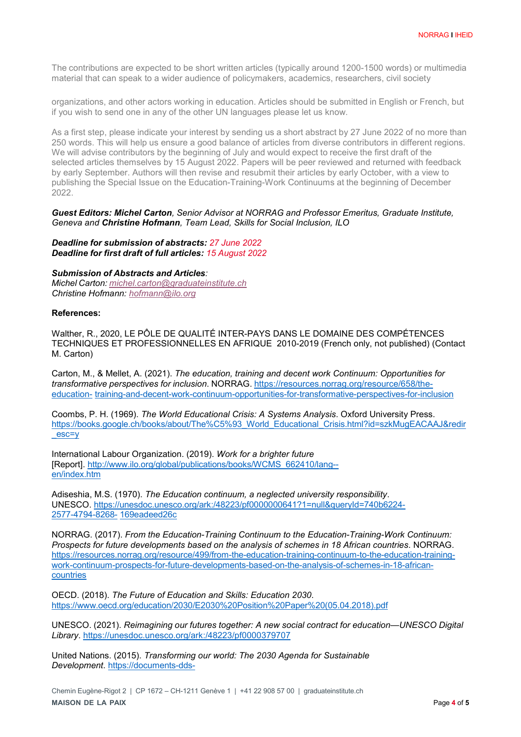The contributions are expected to be short written articles (typically around 1200-1500 words) or multimedia material that can speak to a wider audience of policymakers, academics, researchers, civil society

organizations, and other actors working in education. Articles should be submitted in English or French, but if you wish to send one in any of the other UN languages please let us know.

As a first step, please indicate your interest by sending us a short abstract by 27 June 2022 of no more than 250 words. This will help us ensure a good balance of articles from diverse contributors in different regions. We will advise contributors by the beginning of July and would expect to receive the first draft of the selected articles themselves by 15 August 2022. Papers will be peer reviewed and returned with feedback by early September. Authors will then revise and resubmit their articles by early October, with a view to publishing the Special Issue on the Education-Training-Work Continuums at the beginning of December 2022.

#### *Guest Editors: Michel Carton, Senior Advisor at NORRAG and Professor Emeritus, Graduate Institute, Geneva and Christine Hofmann, Team Lead, Skills for Social Inclusion, ILO*

#### *Deadline for submission of abstracts: 27 June 2022 Deadline for first draft of full articles: 15 August 2022*

#### *Submission of Abstracts and Articles:*

*Michel Carton: [michel.carton@graduateinstitute.ch](mailto:michel.carton@graduateinstitute.ch) Christine Hofmann: [hofmann@ilo.org](mailto:hofmann@ilo.org)*

## **References:**

Walther, R., 2020, LE PÔLE DE QUALITÉ INTER-PAYS DANS LE DOMAINE DES COMPÉTENCES TECHNIQUES ET PROFESSIONNELLES EN AFRIQUE 2010-2019 (French only, not published) (Contact M. Carton)

Carton, M., & Mellet, A. (2021). *The education, training and decent work Continuum: Opportunities for transformative perspectives for inclusion*. NORRAG. https://resources.norrag.org/resource/658/theeducation- training-and-decent-work-continuum-opportunities-for-transformative-perspectives-for-inclusion

Coombs, P. H. (1969). *The World Educational Crisis: A Systems Analysis*. Oxford University Press. https://books.google.ch/books/about/The%C5%93\_World\_Educational\_Crisis.html?id=szkMugEACAAJ&redir esc=y

International Labour Organization. (2019). *Work for a brighter future*  [Report]. [http://www.ilo.org/global/publications/books/WCMS\\_662410/lang-](http://www.ilo.org/global/publications/books/WCMS_662410/lang--en/index.htm) [en/index.htm](http://www.ilo.org/global/publications/books/WCMS_662410/lang--en/index.htm)

Adiseshia, M.S. (1970). *The Education continuum, a neglected university responsibility*. UNESCO. https://unesdoc.unesco.org/ark:/48223/pf0000000641?1=null&queryId=740b6224- 2577-4794-8268- 169eadeed26c

NORRAG. (2017). *From the Education-Training Continuum to the Education-Training-Work Continuum: Prospects for future developments based on the analysis of schemes in 18 African countries*. NORRAG. https://resources.norrag.org/resource/499/from-the-education-training-continuum-to-the-education-trainingwork-continuum-prospects-for-future-developments-based-on-the-analysis-of-schemes-in-18-africancountries

OECD. (2018). *The Future of Education and Skills: Education 2030*. https:/[/www.oecd.org/education/2030/E2030%20Position%20Paper%20\(05.04.2018\).pdf](http://www.oecd.org/education/2030/E2030%20Position%20Paper%20(05.04.2018).pdf)

UNESCO. (2021). *Reimagining our futures together: A new social contract for education—UNESCO Digital Library*. https://unesdoc.unesco.org/ark:/48223/pf0000379707

United Nations. (2015). *Transforming our world: The 2030 Agenda for Sustainable Development*. https://documents-dds